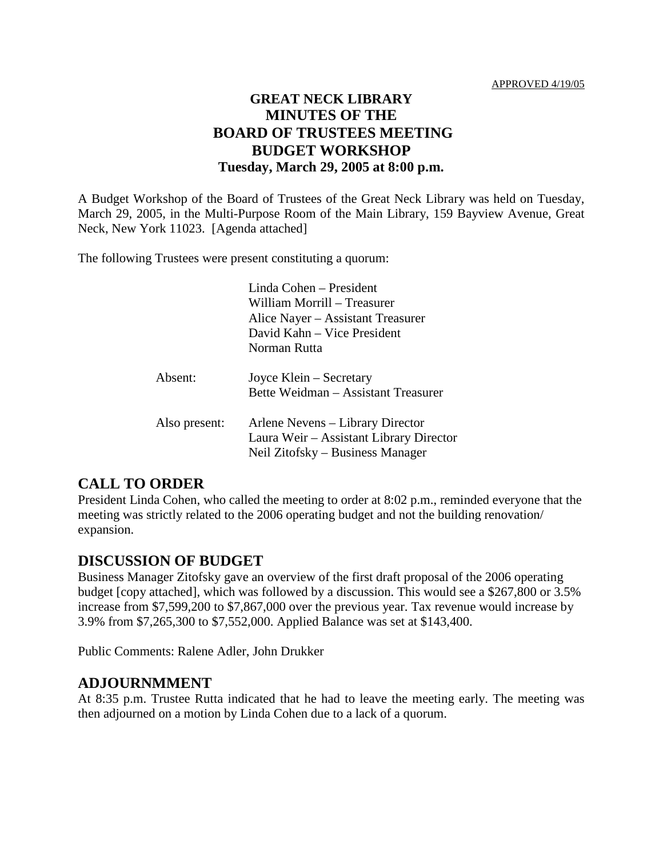## **GREAT NECK LIBRARY MINUTES OF THE BOARD OF TRUSTEES MEETING BUDGET WORKSHOP Tuesday, March 29, 2005 at 8:00 p.m.**

A Budget Workshop of the Board of Trustees of the Great Neck Library was held on Tuesday, March 29, 2005, in the Multi-Purpose Room of the Main Library, 159 Bayview Avenue, Great Neck, New York 11023. [Agenda attached]

The following Trustees were present constituting a quorum:

|               | Linda Cohen - President<br>William Morrill – Treasurer<br>Alice Nayer – Assistant Treasurer<br>David Kahn – Vice President<br>Norman Rutta |
|---------------|--------------------------------------------------------------------------------------------------------------------------------------------|
| Absent:       | Joyce Klein – Secretary<br>Bette Weidman – Assistant Treasurer                                                                             |
| Also present: | Arlene Nevens – Library Director<br>Laura Weir - Assistant Library Director<br>Neil Zitofsky – Business Manager                            |

### **CALL TO ORDER**

President Linda Cohen, who called the meeting to order at 8:02 p.m., reminded everyone that the meeting was strictly related to the 2006 operating budget and not the building renovation/ expansion.

### **DISCUSSION OF BUDGET**

Business Manager Zitofsky gave an overview of the first draft proposal of the 2006 operating budget [copy attached], which was followed by a discussion. This would see a \$267,800 or 3.5% increase from \$7,599,200 to \$7,867,000 over the previous year. Tax revenue would increase by 3.9% from \$7,265,300 to \$7,552,000. Applied Balance was set at \$143,400.

Public Comments: Ralene Adler, John Drukker

### **ADJOURNMMENT**

At 8:35 p.m. Trustee Rutta indicated that he had to leave the meeting early. The meeting was then adjourned on a motion by Linda Cohen due to a lack of a quorum.